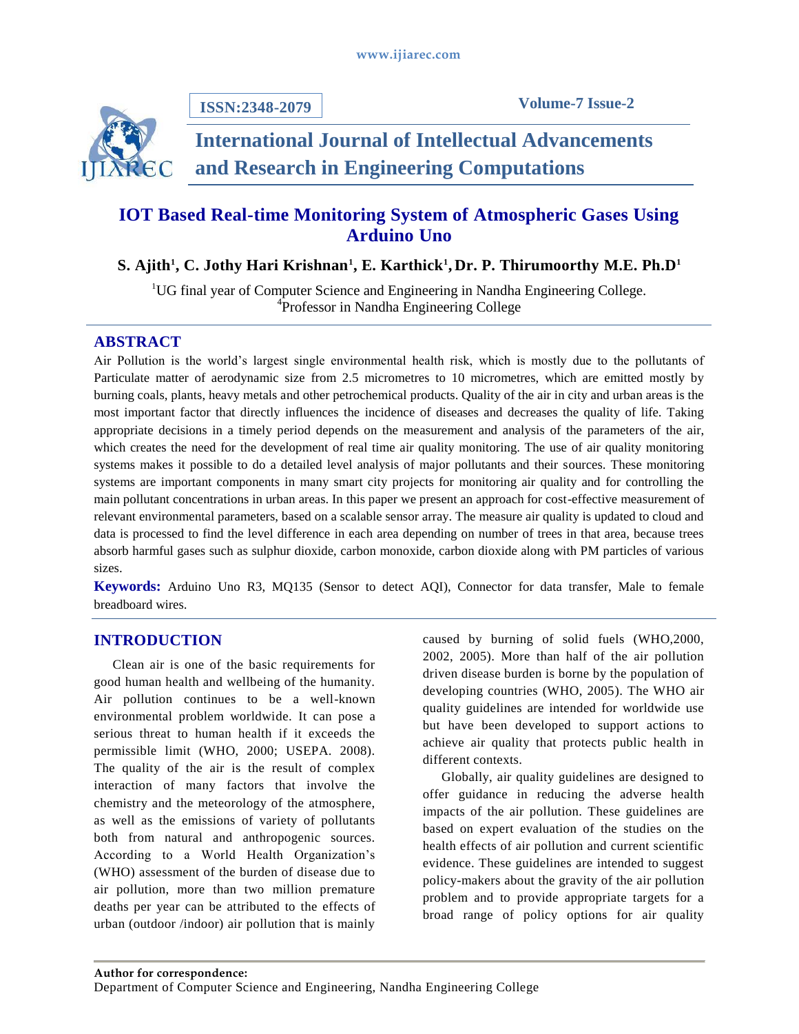

**ISSN:2348-2079**

# **International Journal of Intellectual Advancements and Research in Engineering Computations**

# **IOT Based Real-time Monitoring System of Atmospheric Gases Using Arduino Uno**

# **S. Ajith<sup>1</sup> , C. Jothy Hari Krishnan<sup>1</sup> , E. Karthick<sup>1</sup> , Dr. P. Thirumoorthy M.E. Ph.D<sup>1</sup>**

<sup>1</sup>UG final year of Computer Science and Engineering in Nandha Engineering College. <sup>4</sup>Professor in Nandha Engineering College

## **ABSTRACT**

Air Pollution is the world's largest single environmental health risk, which is mostly due to the pollutants of Particulate matter of aerodynamic size from 2.5 micrometres to 10 micrometres, which are emitted mostly by burning coals, plants, heavy metals and other petrochemical products. Quality of the air in city and urban areas is the most important factor that directly influences the incidence of diseases and decreases the quality of life. Taking appropriate decisions in a timely period depends on the measurement and analysis of the parameters of the air, which creates the need for the development of real time air quality monitoring. The use of air quality monitoring systems makes it possible to do a detailed level analysis of major pollutants and their sources. These monitoring systems are important components in many smart city projects for monitoring air quality and for controlling the main pollutant concentrations in urban areas. In this paper we present an approach for cost-effective measurement of relevant environmental parameters, based on a scalable sensor array. The measure air quality is updated to cloud and data is processed to find the level difference in each area depending on number of trees in that area, because trees absorb harmful gases such as sulphur dioxide, carbon monoxide, carbon dioxide along with PM particles of various sizes.

**Keywords:** Arduino Uno R3, MQ135 (Sensor to detect AQI), Connector for data transfer, Male to female breadboard wires.

# **INTRODUCTION**

Clean air is one of the basic requirements for good human health and wellbeing of the humanity. Air pollution continues to be a well-known environmental problem worldwide. It can pose a serious threat to human health if it exceeds the permissible limit (WHO, 2000; USEPA. 2008). The quality of the air is the result of complex interaction of many factors that involve the chemistry and the meteorology of the atmosphere, as well as the emissions of variety of pollutants both from natural and anthropogenic sources. According to a World Health Organization's (WHO) assessment of the burden of disease due to air pollution, more than two million premature deaths per year can be attributed to the effects of urban (outdoor /indoor) air pollution that is mainly

caused by burning of solid fuels (WHO,2000, 2002, 2005). More than half of the air pollution driven disease burden is borne by the population of developing countries (WHO, 2005). The WHO air quality guidelines are intended for worldwide use but have been developed to support actions to achieve air quality that protects public health in different contexts.

Globally, air quality guidelines are designed to offer guidance in reducing the adverse health impacts of the air pollution. These guidelines are based on expert evaluation of the studies on the health effects of air pollution and current scientific evidence. These guidelines are intended to suggest policy-makers about the gravity of the air pollution problem and to provide appropriate targets for a broad range of policy options for air quality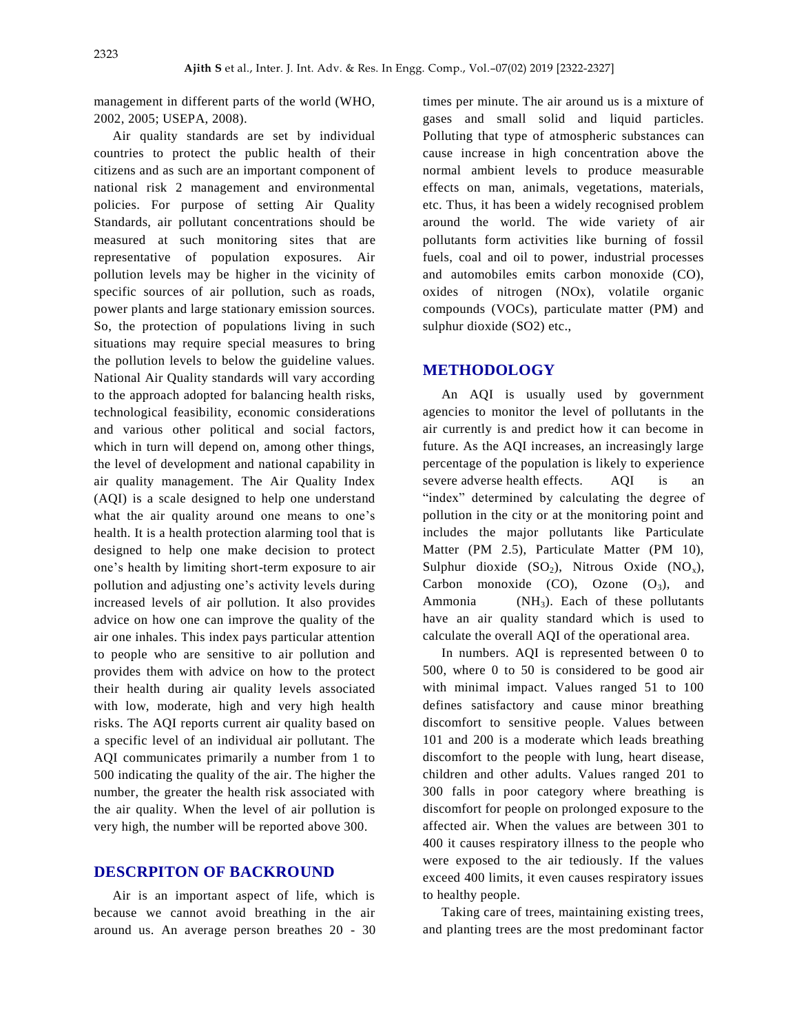management in different parts of the world (WHO, 2002, 2005; USEPA, 2008).

Air quality standards are set by individual countries to protect the public health of their citizens and as such are an important component of national risk 2 management and environmental policies. For purpose of setting Air Quality Standards, air pollutant concentrations should be measured at such monitoring sites that are representative of population exposures. Air pollution levels may be higher in the vicinity of specific sources of air pollution, such as roads, power plants and large stationary emission sources. So, the protection of populations living in such situations may require special measures to bring the pollution levels to below the guideline values. National Air Quality standards will vary according to the approach adopted for balancing health risks, technological feasibility, economic considerations and various other political and social factors, which in turn will depend on, among other things, the level of development and national capability in air quality management. The Air Quality Index (AQI) is a scale designed to help one understand what the air quality around one means to one's health. It is a health protection alarming tool that is designed to help one make decision to protect one's health by limiting short-term exposure to air pollution and adjusting one's activity levels during increased levels of air pollution. It also provides advice on how one can improve the quality of the air one inhales. This index pays particular attention to people who are sensitive to air pollution and provides them with advice on how to the protect their health during air quality levels associated with low, moderate, high and very high health risks. The AQI reports current air quality based on a specific level of an individual air pollutant. The AQI communicates primarily a number from 1 to 500 indicating the quality of the air. The higher the number, the greater the health risk associated with the air quality. When the level of air pollution is very high, the number will be reported above 300.

#### **DESCRPITON OF BACKROUND**

Air is an important aspect of life, which is because we cannot avoid breathing in the air around us. An average person breathes 20 - 30 times per minute. The air around us is a mixture of gases and small solid and liquid particles. Polluting that type of atmospheric substances can cause increase in high concentration above the normal ambient levels to produce measurable effects on man, animals, vegetations, materials, etc. Thus, it has been a widely recognised problem around the world. The wide variety of air pollutants form activities like burning of fossil fuels, coal and oil to power, industrial processes and automobiles emits carbon monoxide (CO), oxides of nitrogen (NOx), volatile organic compounds (VOCs), particulate matter (PM) and sulphur dioxide (SO2) etc.,

#### **METHODOLOGY**

An AQI is usually used by government agencies to monitor the level of pollutants in the air currently is and predict how it can become in future. As the AQI increases, an increasingly large percentage of the population is likely to experience severe adverse health effects. AQI is an "index" determined by calculating the degree of pollution in the city or at the monitoring point and includes the major pollutants like Particulate Matter (PM 2.5), Particulate Matter (PM 10), Sulphur dioxide  $(SO_2)$ , Nitrous Oxide  $(NO_x)$ , Carbon monoxide (CO), Ozone  $(O_3)$ , and Ammonia (NH<sub>3</sub>). Each of these pollutants have an air quality standard which is used to calculate the overall AQI of the operational area.

In numbers. AQI is represented between 0 to 500, where 0 to 50 is considered to be good air with minimal impact. Values ranged 51 to 100 defines satisfactory and cause minor breathing discomfort to sensitive people. Values between 101 and 200 is a moderate which leads breathing discomfort to the people with lung, heart disease, children and other adults. Values ranged 201 to 300 falls in poor category where breathing is discomfort for people on prolonged exposure to the affected air. When the values are between 301 to 400 it causes respiratory illness to the people who were exposed to the air tediously. If the values exceed 400 limits, it even causes respiratory issues to healthy people.

Taking care of trees, maintaining existing trees, and planting trees are the most predominant factor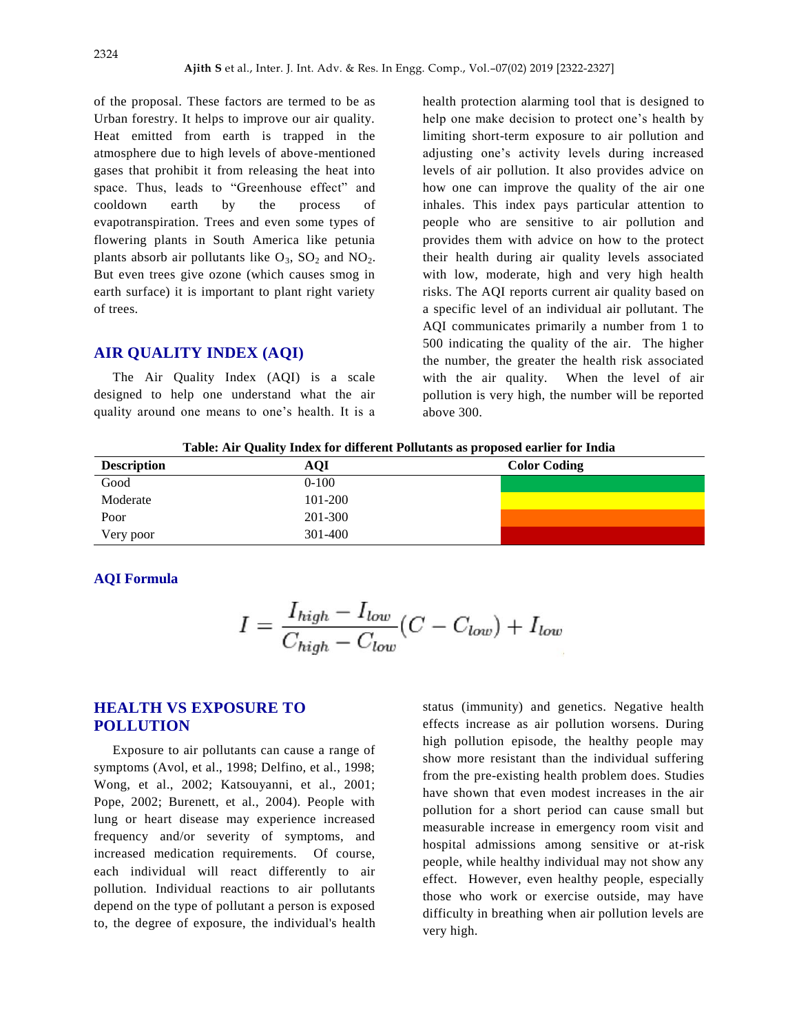of the proposal. These factors are termed to be as Urban forestry. It helps to improve our air quality. Heat emitted from earth is trapped in the atmosphere due to high levels of above-mentioned gases that prohibit it from releasing the heat into space. Thus, leads to "Greenhouse effect" and cooldown earth by the process of evapotranspiration. Trees and even some types of flowering plants in South America like petunia plants absorb air pollutants like  $O_3$ ,  $SO_2$  and  $NO_2$ . But even trees give ozone (which causes smog in earth surface) it is important to plant right variety of trees.

### **AIR QUALITY INDEX (AQI)**

The Air Quality Index (AQI) is a scale designed to help one understand what the air quality around one means to one's health. It is a

health protection alarming tool that is designed to help one make decision to protect one's health by limiting short-term exposure to air pollution and adjusting one's activity levels during increased levels of air pollution. It also provides advice on how one can improve the quality of the air one inhales. This index pays particular attention to people who are sensitive to air pollution and provides them with advice on how to the protect their health during air quality levels associated with low, moderate, high and very high health risks. The AQI reports current air quality based on a specific level of an individual air pollutant. The AQI communicates primarily a number from 1 to 500 indicating the quality of the air. The higher the number, the greater the health risk associated with the air quality. When the level of air pollution is very high, the number will be reported above 300.

**Table: Air Quality Index for different Pollutants as proposed earlier for India**

| <b>Description</b> | <b>AQI</b> | <b>Color Coding</b> |
|--------------------|------------|---------------------|
| Good               | $0 - 100$  |                     |
| Moderate           | 101-200    |                     |
| Poor               | 201-300    |                     |
| Very poor          | 301-400    |                     |

#### **AQI Formula**

$$
I = \frac{I_{high} - I_{low}}{C_{high} - C_{low}}(C - C_{low}) + I_{low}
$$

## **HEALTH VS EXPOSURE TO POLLUTION**

Exposure to air pollutants can cause a range of symptoms (Avol, et al., 1998; Delfino, et al., 1998; Wong, et al., 2002; Katsouyanni, et al., 2001; Pope, 2002; Burenett, et al., 2004). People with lung or heart disease may experience increased frequency and/or severity of symptoms, and increased medication requirements. Of course, each individual will react differently to air pollution. Individual reactions to air pollutants depend on the type of pollutant a person is exposed to, the degree of exposure, the individual's health status (immunity) and genetics. Negative health effects increase as air pollution worsens. During high pollution episode, the healthy people may show more resistant than the individual suffering from the pre-existing health problem does. Studies have shown that even modest increases in the air pollution for a short period can cause small but measurable increase in emergency room visit and hospital admissions among sensitive or at-risk people, while healthy individual may not show any effect. However, even healthy people, especially those who work or exercise outside, may have difficulty in breathing when air pollution levels are very high.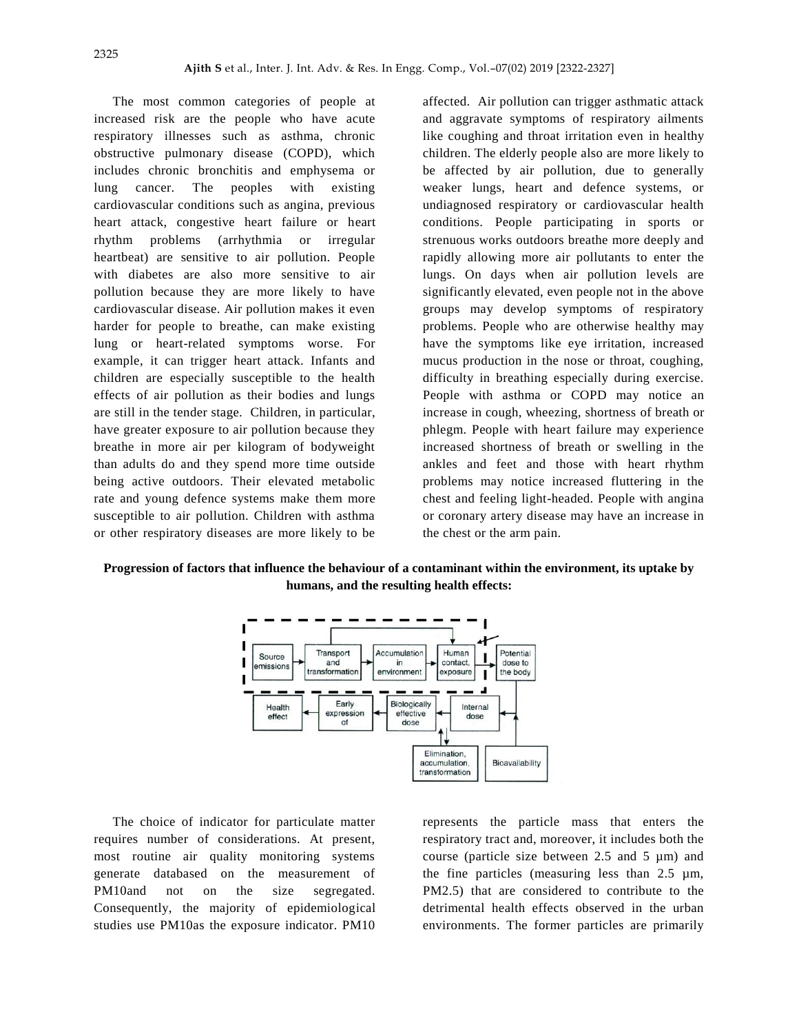The most common categories of people at increased risk are the people who have acute respiratory illnesses such as asthma, chronic obstructive pulmonary disease (COPD), which includes chronic bronchitis and emphysema or lung cancer. The peoples with existing cardiovascular conditions such as angina, previous heart attack, congestive heart failure or heart rhythm problems (arrhythmia or irregular heartbeat) are sensitive to air pollution. People with diabetes are also more sensitive to air pollution because they are more likely to have cardiovascular disease. Air pollution makes it even harder for people to breathe, can make existing lung or heart-related symptoms worse. For example, it can trigger heart attack. Infants and children are especially susceptible to the health effects of air pollution as their bodies and lungs are still in the tender stage. Children, in particular, have greater exposure to air pollution because they breathe in more air per kilogram of bodyweight than adults do and they spend more time outside being active outdoors. Their elevated metabolic rate and young defence systems make them more susceptible to air pollution. Children with asthma or other respiratory diseases are more likely to be

affected. Air pollution can trigger asthmatic attack and aggravate symptoms of respiratory ailments like coughing and throat irritation even in healthy children. The elderly people also are more likely to be affected by air pollution, due to generally weaker lungs, heart and defence systems, or undiagnosed respiratory or cardiovascular health conditions. People participating in sports or strenuous works outdoors breathe more deeply and rapidly allowing more air pollutants to enter the lungs. On days when air pollution levels are significantly elevated, even people not in the above groups may develop symptoms of respiratory problems. People who are otherwise healthy may have the symptoms like eye irritation, increased mucus production in the nose or throat, coughing, difficulty in breathing especially during exercise. People with asthma or COPD may notice an increase in cough, wheezing, shortness of breath or phlegm. People with heart failure may experience increased shortness of breath or swelling in the ankles and feet and those with heart rhythm problems may notice increased fluttering in the chest and feeling light-headed. People with angina or coronary artery disease may have an increase in the chest or the arm pain.

**Progression of factors that influence the behaviour of a contaminant within the environment, its uptake by humans, and the resulting health effects:**



The choice of indicator for particulate matter requires number of considerations. At present, most routine air quality monitoring systems generate databased on the measurement of PM10and not on the size segregated. Consequently, the majority of epidemiological studies use PM10as the exposure indicator. PM10

represents the particle mass that enters the respiratory tract and, moreover, it includes both the course (particle size between  $2.5$  and  $5 \mu m$ ) and the fine particles (measuring less than  $2.5 \mu m$ , PM2.5) that are considered to contribute to the detrimental health effects observed in the urban environments. The former particles are primarily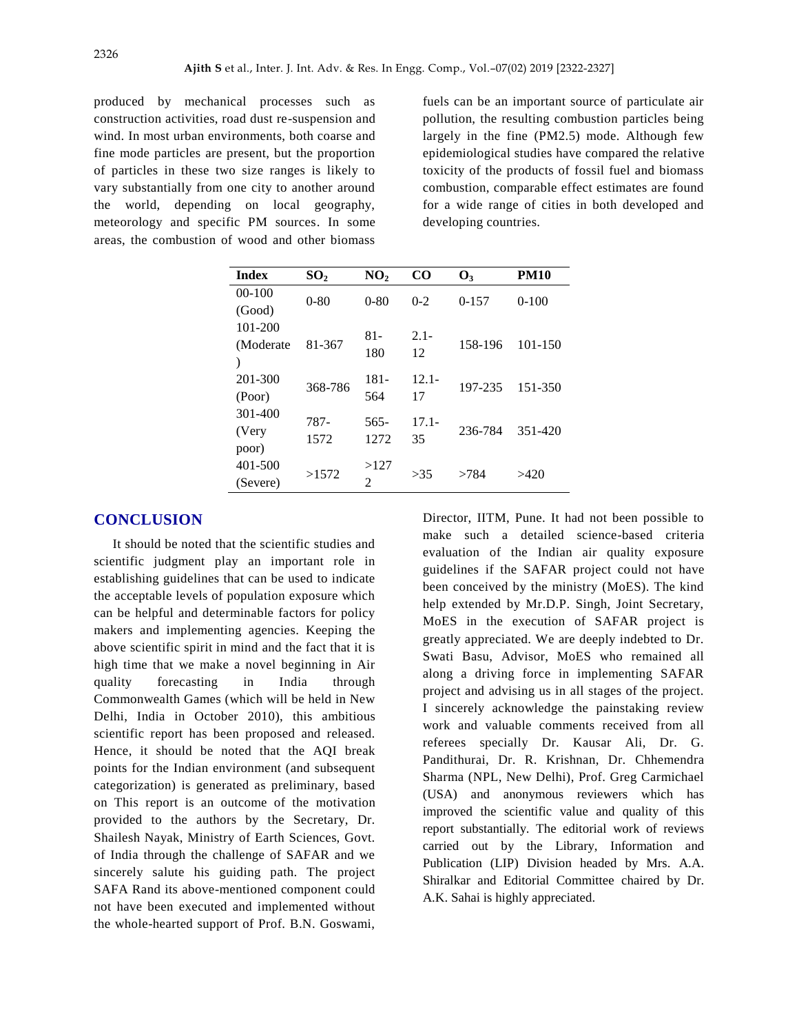produced by mechanical processes such as construction activities, road dust re-suspension and wind. In most urban environments, both coarse and fine mode particles are present, but the proportion of particles in these two size ranges is likely to vary substantially from one city to another around the world, depending on local geography, meteorology and specific PM sources. In some areas, the combustion of wood and other biomass

fuels can be an important source of particulate air pollution, the resulting combustion particles being largely in the fine (PM2.5) mode. Although few epidemiological studies have compared the relative toxicity of the products of fossil fuel and biomass combustion, comparable effect estimates are found for a wide range of cities in both developed and developing countries.

| <b>Index</b> | SO <sub>2</sub> | NO <sub>2</sub>    | $\rm CO$      | <b>O</b> <sub>2</sub> | <b>PM10</b> |
|--------------|-----------------|--------------------|---------------|-----------------------|-------------|
| $00 - 100$   | $0 - 80$        | $0 - 80$           | $0 - 2$       | $0 - 157$             | $0-100$     |
| (Good)       |                 |                    |               |                       |             |
| $101 - 200$  | 81-367          | $2.1 -$<br>$81 -$  |               | 158-196               | $101 - 150$ |
| (Moderate    |                 |                    |               |                       |             |
|              |                 |                    |               |                       |             |
| 201-300      | 368-786         | 181-               | $12.1 -$      |                       |             |
| (Poor)       |                 | 564                | 17            |                       |             |
| 301-400      | 787-<br>1572    | $17.1 -$<br>$565-$ |               |                       |             |
|              |                 |                    | 236-784<br>35 |                       | 351-420     |
| poor)        |                 |                    |               |                       |             |
| 401-500      | >1572           | >127               | >35           | >784                  | >420        |
| (Severe)     |                 | $\mathfrak{D}$     |               |                       |             |
| (Very        |                 | 180<br>1272        | 12            | 197-235               | 151-350     |

#### **CONCLUSION**

It should be noted that the scientific studies and scientific judgment play an important role in establishing guidelines that can be used to indicate the acceptable levels of population exposure which can be helpful and determinable factors for policy makers and implementing agencies. Keeping the above scientific spirit in mind and the fact that it is high time that we make a novel beginning in Air quality forecasting in India through Commonwealth Games (which will be held in New Delhi, India in October 2010), this ambitious scientific report has been proposed and released. Hence, it should be noted that the AQI break points for the Indian environment (and subsequent categorization) is generated as preliminary, based on This report is an outcome of the motivation provided to the authors by the Secretary, Dr. Shailesh Nayak, Ministry of Earth Sciences, Govt. of India through the challenge of SAFAR and we sincerely salute his guiding path. The project SAFA Rand its above-mentioned component could not have been executed and implemented without the whole-hearted support of Prof. B.N. Goswami,

Director, IITM, Pune. It had not been possible to make such a detailed science-based criteria evaluation of the Indian air quality exposure guidelines if the SAFAR project could not have been conceived by the ministry (MoES). The kind help extended by Mr.D.P. Singh, Joint Secretary, MoES in the execution of SAFAR project is greatly appreciated. We are deeply indebted to Dr. Swati Basu, Advisor, MoES who remained all along a driving force in implementing SAFAR project and advising us in all stages of the project. I sincerely acknowledge the painstaking review work and valuable comments received from all referees specially Dr. Kausar Ali, Dr. G. Pandithurai, Dr. R. Krishnan, Dr. Chhemendra Sharma (NPL, New Delhi), Prof. Greg Carmichael (USA) and anonymous reviewers which has improved the scientific value and quality of this report substantially. The editorial work of reviews carried out by the Library, Information and Publication (LIP) Division headed by Mrs. A.A. Shiralkar and Editorial Committee chaired by Dr. A.K. Sahai is highly appreciated.